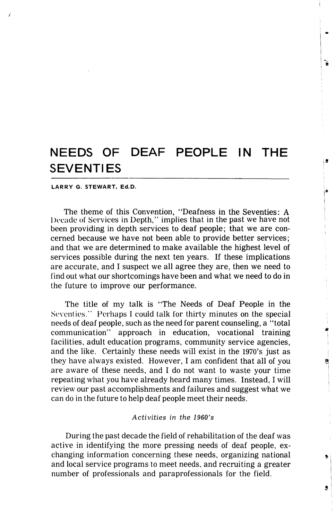٦

 $\mathbf{a}$ 

3

#### LARRY G. STEWART, Ed.D.

The theme of this Convention, "Deafness in the Seventies: A Decade of Services in Depth," implies that in the past we have not been providing in depth services to deaf people; that we are con cerned because we have not been able to provide better services; and that we are determined to make available the highest level of services possible during the next ten years. If these implications are accurate, and I suspect we all agree they are, then we need to find out what our shortcomings have been and what we need to do in the future to improve our performance.

The title of my talk is "The Needs of Deaf People in the Seventies." Perhaps I could talk for thirty minutes on the special needs of deaf people, such as the need for parent counseling, a "total communication" approach in education, vocational training facilities, adult education programs, community service agencies, and the like. Certainly these needs will exist in the 1970's just as they have always existed. However, I am confident that all of you are aware of these needs, and I do not want to waste your time repeating what you have already heard many times. Instead, I will review our past accomplishments and failures and suggest what we can do in the future to help deaf people meet their needs.

## Activities in the 1960's

During the past decade the field of rehabilitation of the deaf was active in identifying the more pressing needs of deaf people, ex changing information concerning these needs, organizing national and local service programs to meet needs, and recruiting a greater number of professionals and paraprofessionals for the field.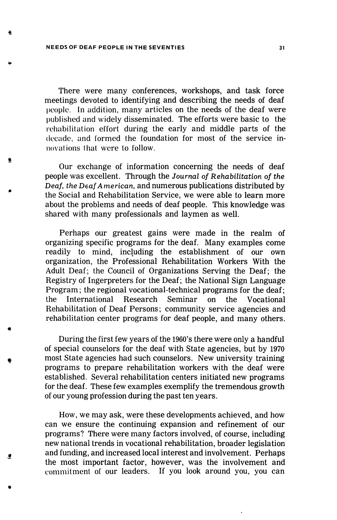e

There were many conferences, workshops, and task force meetings devoted to identifying and describing the needs of deaf people. In addition, many articles on the needs of the deaf were published and widely disseminated. The efforts were basic to the rehabilitation effort during the early and middle parts of the decade, and formed the foundation for most of the service in novations that were to follow.

Our exchange of information concerning the needs of deaf people was excellent. Through the Journal of Rehabilitation of the Deaf, the Deaf American, and numerous publications distributed by the Social and Rehabilitation Service, we were able to learn more about the problems and needs of deaf people. This knowledge was shared with many professionals and laymen as well.

Perhaps our greatest gains were made in the realm of organizing specific programs for the deaf. Many examples come readily to mind, including the establishment of our own organization, the Professional Rehabilitation Workers With the Adult Deaf; the Council of Organizations Serving the Deaf; the Registry of Ingerpreters for the Deaf; the National Sign Language Program; the regional vocational-technical programs for the deaf; the International Research Seminar on the Vocational Rehabilitation of Deaf Persons; community service agencies and rehabilitation center programs for deaf people, and many others.

During the first few years of the 1960's there were only a handful of special counselors for the deaf with State agencies, but by 1970 most State agencies had such counselors. New university training programs to prepare rehabilitation workers with the deaf were established. Several rehabilitation centers initiated new programs for the deaf. These few examples exemplify the tremendous growth of our young profession during the past ten years.

How, we may ask, were these developments achieved, and how can we ensure the continuing expansion and refinement of our programs? There were many factors involved, of course, including new national trends in vocational rehabilitation, broader legislation and funding, and increased local interest and involvement. Perhaps the most important factor, however, was the involvement and commitment of our leaders. If you look around you, you can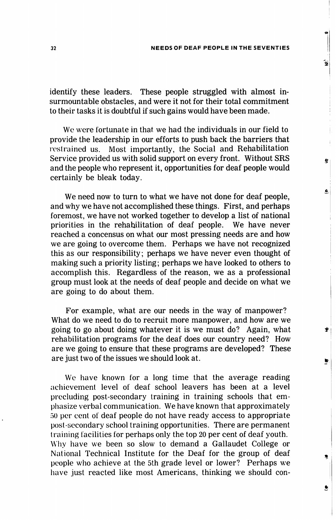Ĝ.

Ö,

Ù

۰

identify these leaders. These people struggled with almost in surmountable obstacles, and were it not for their total commitment to their tasks it is doubtful if such gains would have been made.

We were fortunate in that we had the individuals in our field to provide the leadership in our efforts to push back the barriers that restrained us. Most importantly, the Social and Rehabilitation Service provided us with solid support on every front. Without SRS and the people who represent it, opportunities for deaf people would certainly be bleak today.

We need now to turn to what we have not done for deaf people, and why we have not accomplished these things. First, and perhaps foremost, we have not worked together to develop a list of national priorities in the rehabilitation of deaf people. We have never reached a concensus on what our most pressing needs are and how we are going to overcome them. Perhaps we have not recognized this as our responsibility; perhaps we have never even thought of making such a priority listing; perhaps we have looked to others to accomplish this. Regardless of the reason, we as a professional group must look at the needs of deaf people and decide on what we are going to do about them.

For example, what are our needs in the way of manpower? What do we need to do to recruit more manpower, and how are we going to go about doing whatever it is we must do? Again, what rehabilitation programs for the deaf does our country need? How are we going to ensure that these programs are developed? These are just two of the issues we should look at.

We have known for a long time that the average reading achievement level of deaf school leavers has been at a level precluding post-secondary training in training schools that em phasize verbal communication. We have known that approximately 50 per cent of deaf people do not have ready access to appropriate post-secondary school training opportunities. There are permanent training facilities for perhaps only the top 20 per cent of deaf youth. Why have we been so slow to demand a Gallaudet College or National Technical Institute for the Deaf for the group of deaf people who achieve at the 5th grade level or lower? Perhaps we have just reacted like most Americans, thinking we should con-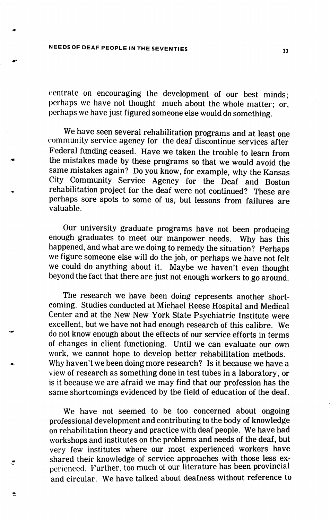centrate on encouraging the development of our best minds; perhaps we have not thought much about the whole matter; or, perhaps we have just figured someone else would do something.

We have seen several rehabilitation programs and at least one community service agency for the deaf discontinue services after Federal funding ceased. Have we taken the trouble to learn from the mistakes made by these programs so that we would avoid the same mistakes again? Do you know, for example, why the Kansas City Community Service Agency for the Deaf and Boston rehabilitation project for the deaf were not continued? These are perhaps sore spots to some of us, but lessons from failures are valuable.

Our university graduate programs have not been producing enough graduates to meet our manpower needs. Why has this happened, and what are we doing to remedy the situation? Perhaps we figure someone else will do the job, or perhaps we have not felt we could do anything about it. Maybe we haven't even thought beyond the fact that there are just not enough workers to go around.

The research we have been doing represents another short coming. Studies conducted at Michael Reese Hospital and Medical Center and at the New New York State Psychiatric Institute were excellent, but we have not had enough research of this calibre. We do not know enough about the effects of our service efforts in terms of changes in client functioning. Until we can evaluate our own work, we cannot hope to develop better rehabilitation methods. Why haven't we been doing more research? Is it because we have a view of research as something done in test tubes in a laboratory, or is it because we are afraid we may find that our profession has the same shortcomings evidenced by the field of education of the deaf.

We have not seemed to be too concerned about ongoing professional development and contributing to the body of knowledge on rehabilitation theory and practice with deaf people. We have had workshops and institutes on the problems and needs of the deaf, but very few institutes where our most experienced workers have shared their knowledge of service approaches with those less ex perienced. Further, too much of our literature has been provincial and circular. We have talked about deafness without reference to

怎

,

33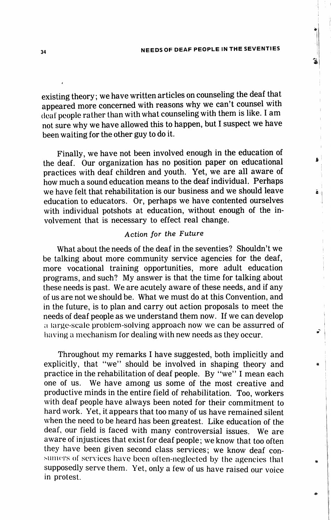ő

ã

existing theory; we have written articles on counseling the deaf that appeared more concerned with reasons why we can't counsel with (leal people rather than with what counseling with them is like. I am not sure why we have allowed this to happen, but I suspect we have been waiting for the other guy to do it.

Finally, we have not been involved enough in the education of the deaf. Our organization has no position paper on educational practices with deaf children and youth. Yet, we are all aware of how much a sound education means to the deaf individual. Perhaps we have felt that rehabilitation is our business and we should leave education to educators. Or, perhaps we have contented ourselves with individual potshots at education, without enough of the in volvement that is necessary to effect real change.

## Action for the Future

What about the needs of the deaf in the seventies? Shouldn't we be talking about more community service agencies for the deaf, more vocational training opportunities, more adult education programs, and such? My answer is that the time for talking about these needs is past. We are acutely aware of these needs, and if any of us are not we should be. What we must do at this Convention, and in the future, is to plan and carry out action proposals to meet the needs of deaf people as we understand them now. If we can develop a large-scale problem-solving approach now we can be assurred of having a mechanism lor dealing with new needs as they occur.

Throughout my remarks I have suggested, both implicitly and explicitly, that "we" should be involved in shaping theory and practice in the rehabilitation of deaf people. By "we" I mean each one of us. We have among us some of the most creative and productive minds in the entire field of rehabilitation. Too, workers with deaf people have always been noted for their commitment to hard work. Yet, it appears that too many of us have remained silent when the need to be heard has been greatest. Like education of the deaf, our field is faced with many controversial issues. We are aware of injustices that exist for deaf people; we know that too often they have been given second class services; we know deaf con sumers of services have been often-neglected by the agencies that supposedly serve them. Yet, only a few of us have raised our voice in protest.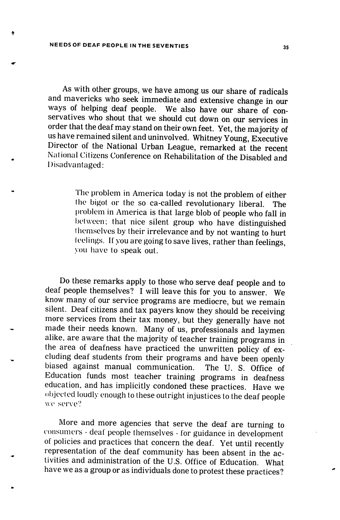As with other groups, we have among us our share of radicals and mavericks who seek immediate and extensive change in our ways of helping deaf people. We also have our share of con servatives who shout that we should cut down on our services in order that the deaf may stand on their own feet. Yet, the majority of us have remained silent and uninvolved. Whitney Young, Executive Director of the National Urban League, remarked at the recent National Citizens Conference on Rehabilitation of the Disabled and Disadvantaged:

> The problem in America today is not the problem of either the bigot or the so ca-called revolutionary liberal. The problem in America is that large blob of people who fall in between; that nice silent group who have distinguished themselves by their irrelevance and by not wanting to hurt teelings. If you are going to save lives, rather than feelings, you have to speak out.

Do these remarks apply to those who serve deaf people and to deaf people themselves? I will leave this for you to answer. We know many of our service programs are mediocre, but we remain silent. Deaf citizens and tax payers know they should be receiving more services from their tax money, but they generally have not made their needs known. Many of us, professionals and laymen alike, are aware that the majority of teacher training programs in the area of deafness have practiced the unwritten policy of ex cluding deaf students from their programs and have been openly biased against manual communication. The U. S. Office of Education funds most teacher training programs in deafness education, and has implicitly condoned these practices. Have we objected loudly enough to these outright injustices to the deaf people wc serve?

More and more agencies that serve the deaf are turning to consumers - deal people themselves - for guidance in development of policies and practices that concern the deaf. Yet until recently representation of the deaf community has been absent in the ac tivities and administration of the U.S. Office of Education. What have we as a group or as individuals done to protest these practices?